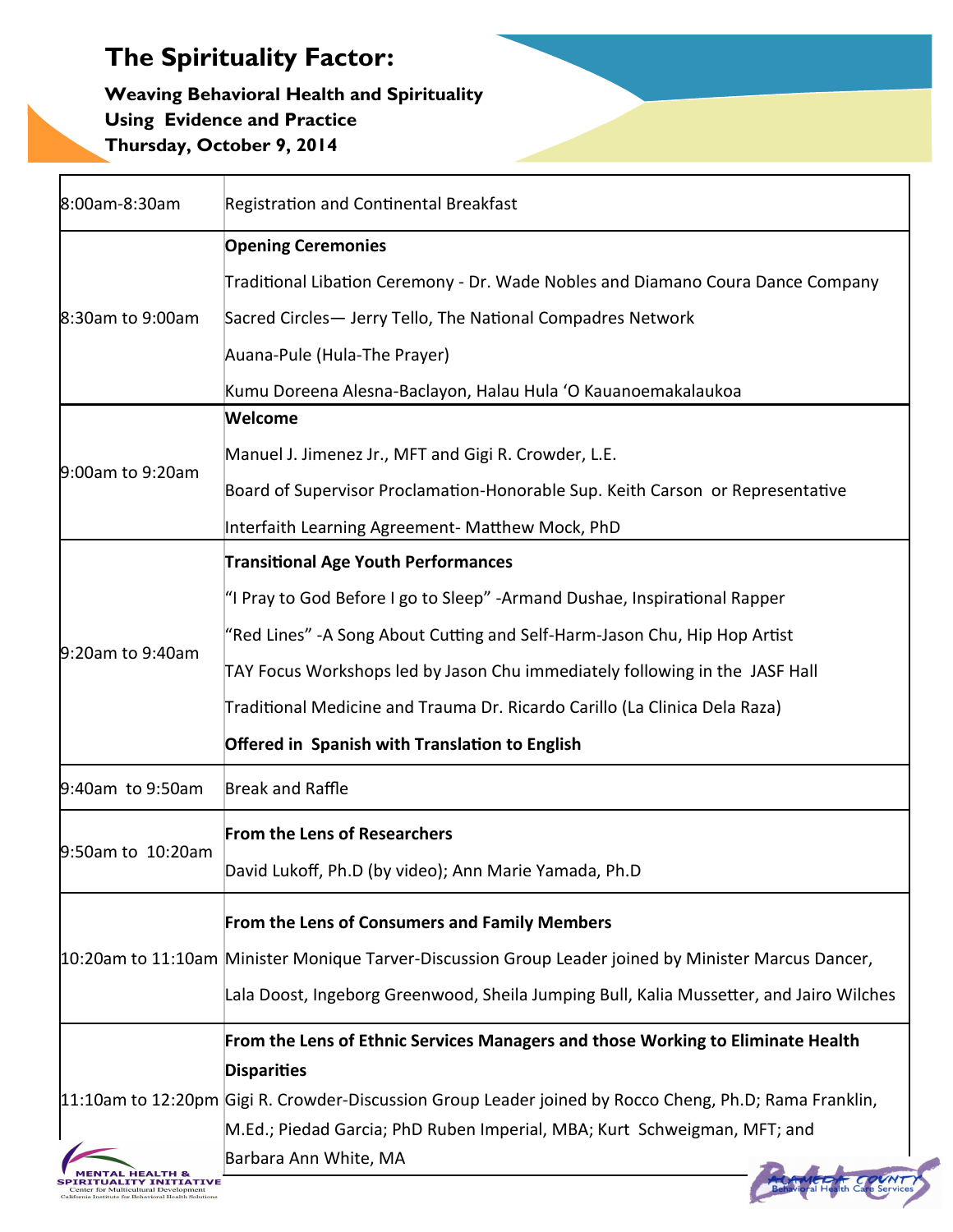#### **Weaving Behavioral Health and Spirituality Using Evidence and Practice Thursday, October 9, 2014**

| 8:00am-8:30am                                                                                             | Registration and Continental Breakfast                                                                 |
|-----------------------------------------------------------------------------------------------------------|--------------------------------------------------------------------------------------------------------|
|                                                                                                           | <b>Opening Ceremonies</b>                                                                              |
| 8:30am to 9:00am                                                                                          | Traditional Libation Ceremony - Dr. Wade Nobles and Diamano Coura Dance Company                        |
|                                                                                                           | Sacred Circles- Jerry Tello, The National Compadres Network                                            |
|                                                                                                           | Auana-Pule (Hula-The Prayer)                                                                           |
|                                                                                                           | Kumu Doreena Alesna-Baclayon, Halau Hula 'O Kauanoemakalaukoa                                          |
| 9:00am to 9:20am                                                                                          | Welcome                                                                                                |
|                                                                                                           | Manuel J. Jimenez Jr., MFT and Gigi R. Crowder, L.E.                                                   |
|                                                                                                           | Board of Supervisor Proclamation-Honorable Sup. Keith Carson or Representative                         |
|                                                                                                           | Interfaith Learning Agreement- Matthew Mock, PhD                                                       |
|                                                                                                           | <b>Transitional Age Youth Performances</b>                                                             |
|                                                                                                           | "I Pray to God Before I go to Sleep" -Armand Dushae, Inspirational Rapper                              |
|                                                                                                           | "Red Lines" -A Song About Cutting and Self-Harm-Jason Chu, Hip Hop Artist                              |
| 9:20am to 9:40am                                                                                          | TAY Focus Workshops led by Jason Chu immediately following in the JASF Hall                            |
|                                                                                                           | Traditional Medicine and Trauma Dr. Ricardo Carillo (La Clinica Dela Raza)                             |
|                                                                                                           | Offered in Spanish with Translation to English                                                         |
| 9:40am to 9:50am                                                                                          | Break and Raffle                                                                                       |
| 9:50am to 10:20am                                                                                         | <b>From the Lens of Researchers</b>                                                                    |
|                                                                                                           | David Lukoff, Ph.D (by video); Ann Marie Yamada, Ph.D                                                  |
|                                                                                                           | From the Lens of Consumers and Family Members                                                          |
|                                                                                                           | 10:20am to 11:10am Minister Monique Tarver-Discussion Group Leader joined by Minister Marcus Dancer,   |
|                                                                                                           | Lala Doost, Ingeborg Greenwood, Sheila Jumping Bull, Kalia Mussetter, and Jairo Wilches                |
|                                                                                                           | From the Lens of Ethnic Services Managers and those Working to Eliminate Health                        |
|                                                                                                           | <b>Disparities</b>                                                                                     |
|                                                                                                           | 11:10am to 12:20pm Gigi R. Crowder-Discussion Group Leader joined by Rocco Cheng, Ph.D; Rama Franklin, |
|                                                                                                           | M.Ed.; Piedad Garcia; PhD Ruben Imperial, MBA; Kurt Schweigman, MFT; and                               |
| <b>LITY INITIATIVE</b><br>enter for Multicultural Development<br>Institute for Behavioral Health Solution | Barbara Ann White, MA                                                                                  |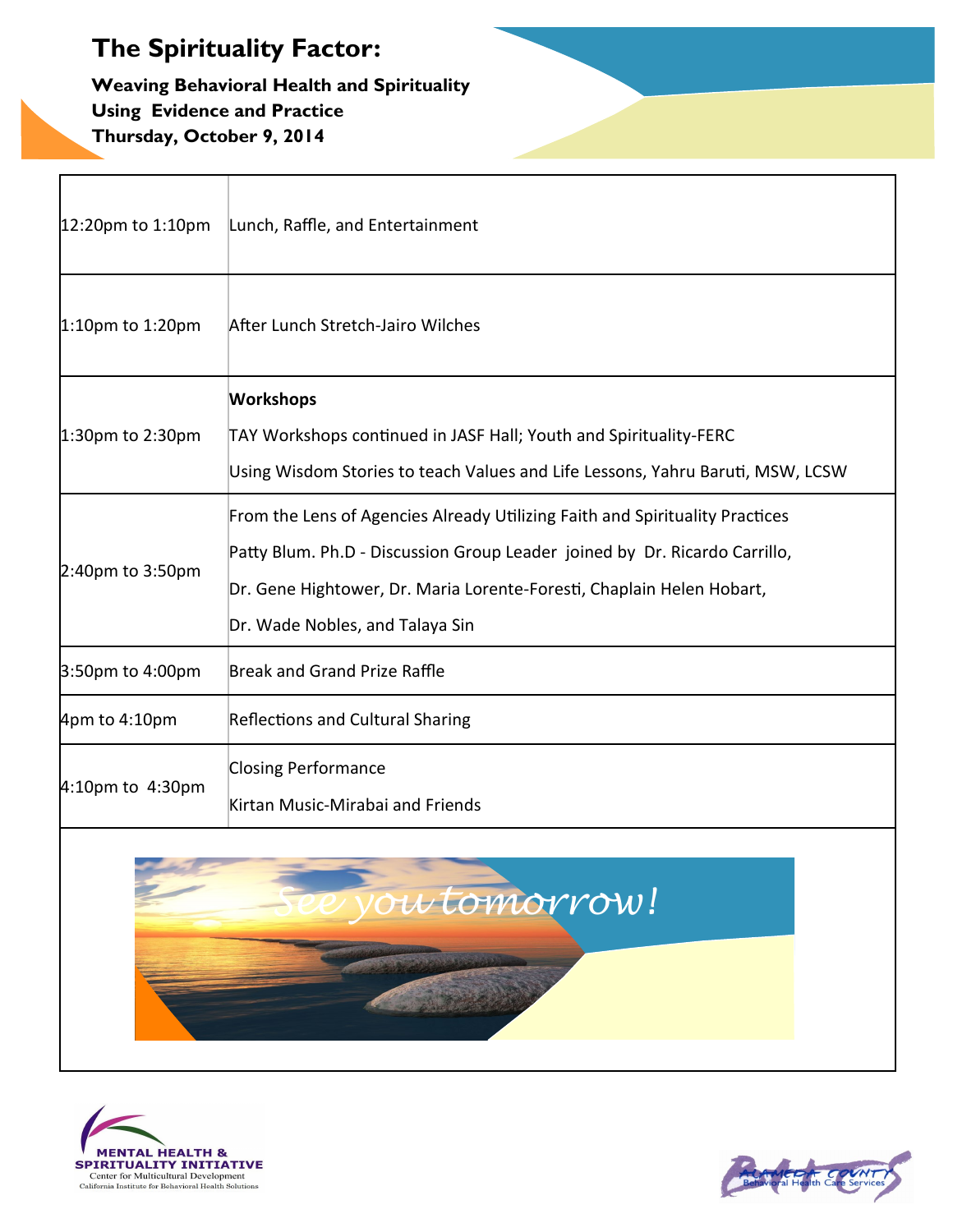f

**Weaving Behavioral Health and Spirituality Using Evidence and Practice Thursday, October 9, 2014**

| 12:20pm to 1:10pm | Lunch, Raffle, and Entertainment                                                                                                                                                                                                                                       |  |
|-------------------|------------------------------------------------------------------------------------------------------------------------------------------------------------------------------------------------------------------------------------------------------------------------|--|
| 1:10pm to 1:20pm  | After Lunch Stretch-Jairo Wilches                                                                                                                                                                                                                                      |  |
| 1:30pm to 2:30pm  | <b>Workshops</b><br>TAY Workshops continued in JASF Hall; Youth and Spirituality-FERC<br>Using Wisdom Stories to teach Values and Life Lessons, Yahru Baruti, MSW, LCSW                                                                                                |  |
| 2:40pm to 3:50pm  | From the Lens of Agencies Already Utilizing Faith and Spirituality Practices<br>Patty Blum. Ph.D - Discussion Group Leader joined by Dr. Ricardo Carrillo,<br>Dr. Gene Hightower, Dr. Maria Lorente-Foresti, Chaplain Helen Hobart,<br>Dr. Wade Nobles, and Talaya Sin |  |
| 3:50pm to 4:00pm  | <b>Break and Grand Prize Raffle</b>                                                                                                                                                                                                                                    |  |
| 4pm to 4:10pm     | <b>Reflections and Cultural Sharing</b>                                                                                                                                                                                                                                |  |
| 4:10pm to 4:30pm  | <b>Closing Performance</b><br>Kirtan Music-Mirabai and Friends                                                                                                                                                                                                         |  |
| ou tomorrow!      |                                                                                                                                                                                                                                                                        |  |



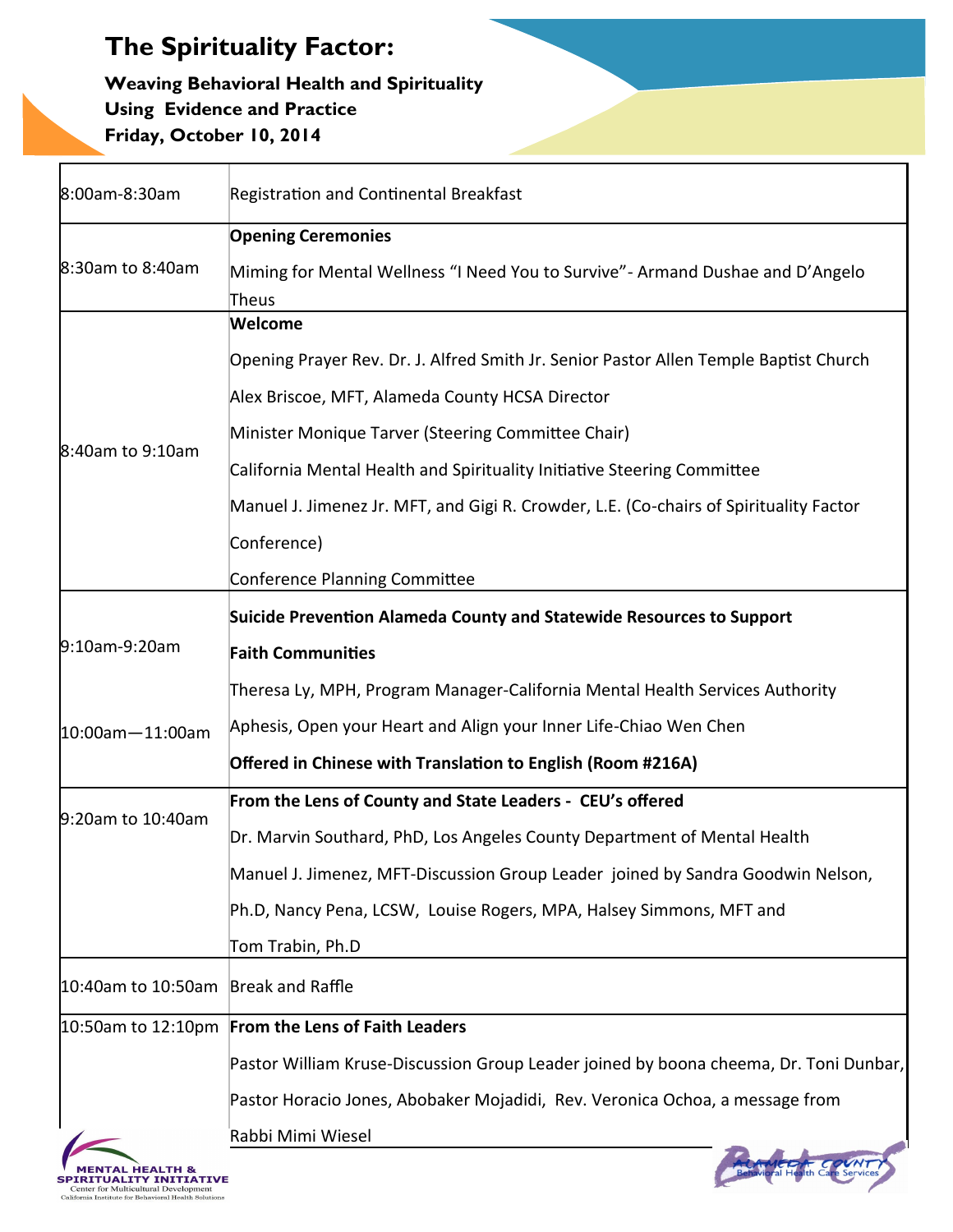Г

**Weaving Behavioral Health and Spirituality Using Evidence and Practice Friday, October 10, 2014**

| 8:00am-8:30am                                                                                                 | <b>Registration and Continental Breakfast</b>                                          |
|---------------------------------------------------------------------------------------------------------------|----------------------------------------------------------------------------------------|
| 8:30am to 8:40am                                                                                              | <b>Opening Ceremonies</b>                                                              |
|                                                                                                               | Miming for Mental Wellness "I Need You to Survive" - Armand Dushae and D'Angelo        |
|                                                                                                               | Theus                                                                                  |
| 8:40am to 9:10am                                                                                              | Welcome                                                                                |
|                                                                                                               | Opening Prayer Rev. Dr. J. Alfred Smith Jr. Senior Pastor Allen Temple Baptist Church  |
|                                                                                                               | Alex Briscoe, MFT, Alameda County HCSA Director                                        |
|                                                                                                               | Minister Monique Tarver (Steering Committee Chair)                                     |
|                                                                                                               | California Mental Health and Spirituality Initiative Steering Committee                |
|                                                                                                               | Manuel J. Jimenez Jr. MFT, and Gigi R. Crowder, L.E. (Co-chairs of Spirituality Factor |
|                                                                                                               | Conference)                                                                            |
|                                                                                                               | Conference Planning Committee                                                          |
|                                                                                                               | Suicide Prevention Alameda County and Statewide Resources to Support                   |
| 9:10am-9:20am                                                                                                 | <b>Faith Communities</b>                                                               |
|                                                                                                               | Theresa Ly, MPH, Program Manager-California Mental Health Services Authority           |
| $10:00$ am $-11:00$ am                                                                                        | Aphesis, Open your Heart and Align your Inner Life-Chiao Wen Chen                      |
|                                                                                                               | Offered in Chinese with Translation to English (Room #216A)                            |
|                                                                                                               | From the Lens of County and State Leaders - CEU's offered                              |
| 9:20am to 10:40am                                                                                             | Dr. Marvin Southard, PhD, Los Angeles County Department of Mental Health               |
|                                                                                                               | Manuel J. Jimenez, MFT-Discussion Group Leader joined by Sandra Goodwin Nelson,        |
|                                                                                                               | Ph.D, Nancy Pena, LCSW, Louise Rogers, MPA, Halsey Simmons, MFT and                    |
|                                                                                                               | Tom Trabin, Ph.D                                                                       |
| 10:40am to 10:50am                                                                                            | Break and Raffle                                                                       |
|                                                                                                               | 10:50am to 12:10pm From the Lens of Faith Leaders                                      |
|                                                                                                               | Pastor William Kruse-Discussion Group Leader joined by boona cheema, Dr. Toni Dunbar,  |
|                                                                                                               | Pastor Horacio Jones, Abobaker Mojadidi, Rev. Veronica Ochoa, a message from           |
|                                                                                                               | Rabbi Mimi Wiesel                                                                      |
| 'Y INITIATIVE<br>Center for Multicultural Development<br>California Institute for Behavioral Health Solutions |                                                                                        |